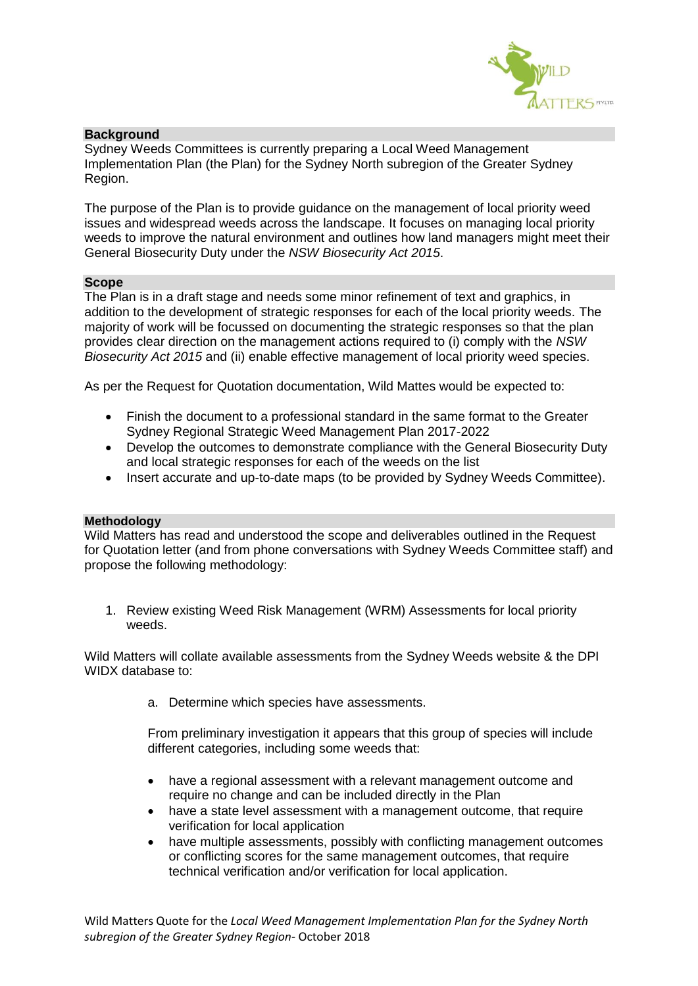

## **Background**

Sydney Weeds Committees is currently preparing a Local Weed Management Implementation Plan (the Plan) for the Sydney North subregion of the Greater Sydney Region.

The purpose of the Plan is to provide guidance on the management of local priority weed issues and widespread weeds across the landscape. It focuses on managing local priority weeds to improve the natural environment and outlines how land managers might meet their General Biosecurity Duty under the *NSW Biosecurity Act 2015*.

#### **Scope**

The Plan is in a draft stage and needs some minor refinement of text and graphics, in addition to the development of strategic responses for each of the local priority weeds. The majority of work will be focussed on documenting the strategic responses so that the plan provides clear direction on the management actions required to (i) comply with the *NSW Biosecurity Act 2015* and (ii) enable effective management of local priority weed species.

As per the Request for Quotation documentation, Wild Mattes would be expected to:

- Finish the document to a professional standard in the same format to the Greater Sydney Regional Strategic Weed Management Plan 2017-2022
- Develop the outcomes to demonstrate compliance with the General Biosecurity Duty and local strategic responses for each of the weeds on the list
- Insert accurate and up-to-date maps (to be provided by Sydney Weeds Committee).

### **Methodology**

Wild Matters has read and understood the scope and deliverables outlined in the Request for Quotation letter (and from phone conversations with Sydney Weeds Committee staff) and propose the following methodology:

1. Review existing Weed Risk Management (WRM) Assessments for local priority weeds.

Wild Matters will collate available assessments from the Sydney Weeds website & the DPI WIDX database to:

a. Determine which species have assessments.

From preliminary investigation it appears that this group of species will include different categories, including some weeds that:

- have a regional assessment with a relevant management outcome and require no change and can be included directly in the Plan
- have a state level assessment with a management outcome, that require verification for local application
- have multiple assessments, possibly with conflicting management outcomes or conflicting scores for the same management outcomes, that require technical verification and/or verification for local application.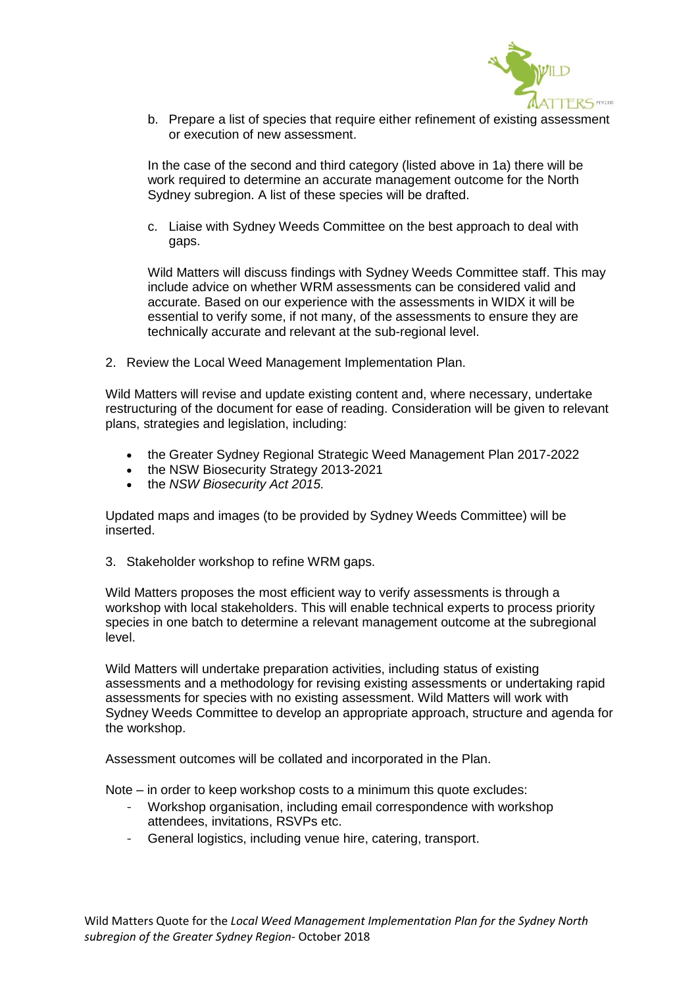

b. Prepare a list of species that require either refinement of existing assessment or execution of new assessment.

In the case of the second and third category (listed above in 1a) there will be work required to determine an accurate management outcome for the North Sydney subregion. A list of these species will be drafted.

c. Liaise with Sydney Weeds Committee on the best approach to deal with gaps.

Wild Matters will discuss findings with Sydney Weeds Committee staff. This may include advice on whether WRM assessments can be considered valid and accurate. Based on our experience with the assessments in WIDX it will be essential to verify some, if not many, of the assessments to ensure they are technically accurate and relevant at the sub-regional level.

2. Review the Local Weed Management Implementation Plan.

Wild Matters will revise and update existing content and, where necessary, undertake restructuring of the document for ease of reading. Consideration will be given to relevant plans, strategies and legislation, including:

- the Greater Sydney Regional Strategic Weed Management Plan 2017-2022
- the NSW Biosecurity Strategy 2013-2021
- the *NSW Biosecurity Act 2015.*

Updated maps and images (to be provided by Sydney Weeds Committee) will be inserted.

3. Stakeholder workshop to refine WRM gaps.

Wild Matters proposes the most efficient way to verify assessments is through a workshop with local stakeholders. This will enable technical experts to process priority species in one batch to determine a relevant management outcome at the subregional level.

Wild Matters will undertake preparation activities, including status of existing assessments and a methodology for revising existing assessments or undertaking rapid assessments for species with no existing assessment. Wild Matters will work with Sydney Weeds Committee to develop an appropriate approach, structure and agenda for the workshop.

Assessment outcomes will be collated and incorporated in the Plan.

Note – in order to keep workshop costs to a minimum this quote excludes:

- Workshop organisation, including email correspondence with workshop attendees, invitations, RSVPs etc.
- General logistics, including venue hire, catering, transport.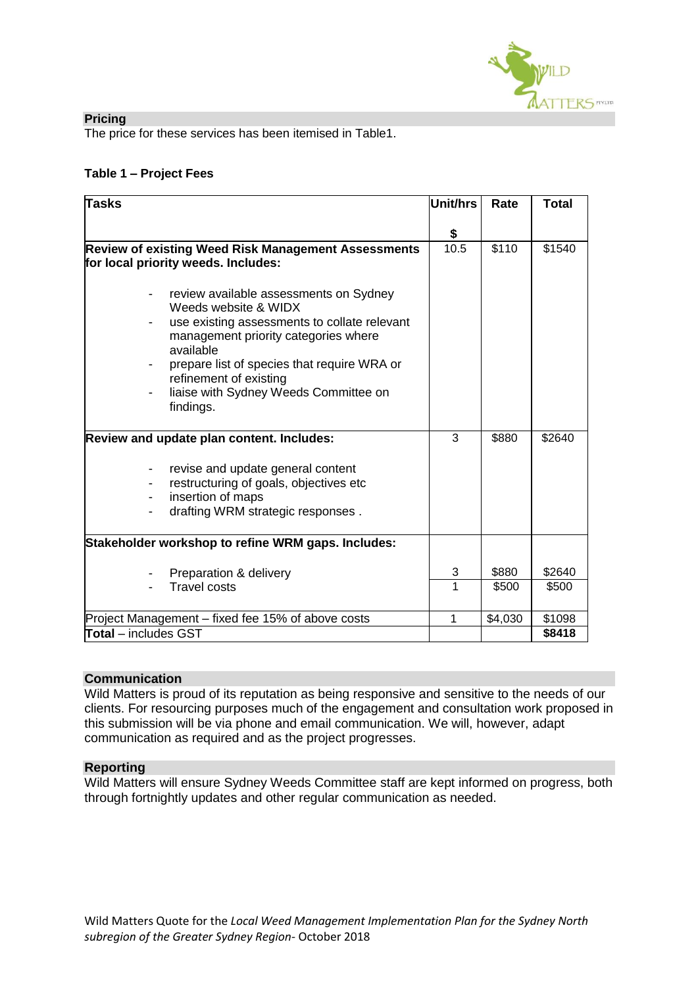

### **Pricing**

The price for these services has been itemised in Table1.

# **Table 1 – Project Fees**

| <b>Tasks</b>                                               | <b>Unit/hrs</b> | Rate    | <b>Total</b> |
|------------------------------------------------------------|-----------------|---------|--------------|
|                                                            |                 |         |              |
|                                                            | \$              |         |              |
| <b>Review of existing Weed Risk Management Assessments</b> | 10.5            | \$110   | \$1540       |
| for local priority weeds. Includes:                        |                 |         |              |
| review available assessments on Sydney                     |                 |         |              |
| Weeds website & WIDX                                       |                 |         |              |
| use existing assessments to collate relevant               |                 |         |              |
| management priority categories where<br>available          |                 |         |              |
| prepare list of species that require WRA or                |                 |         |              |
| refinement of existing                                     |                 |         |              |
| liaise with Sydney Weeds Committee on                      |                 |         |              |
| findings.                                                  |                 |         |              |
|                                                            | 3               | \$880   | \$2640       |
| Review and update plan content. Includes:                  |                 |         |              |
| revise and update general content                          |                 |         |              |
| restructuring of goals, objectives etc                     |                 |         |              |
| insertion of maps<br>$\blacksquare$                        |                 |         |              |
| drafting WRM strategic responses.                          |                 |         |              |
| Stakeholder workshop to refine WRM gaps. Includes:         |                 |         |              |
|                                                            |                 |         |              |
| Preparation & delivery                                     | 3               | \$880   | \$2640       |
| <b>Travel costs</b>                                        | 1               | \$500   | \$500        |
| Project Management - fixed fee 15% of above costs          | 1               | \$4,030 | \$1098       |
| <b>Total</b> – includes GST                                |                 |         | \$8418       |

## **Communication**

Wild Matters is proud of its reputation as being responsive and sensitive to the needs of our clients. For resourcing purposes much of the engagement and consultation work proposed in this submission will be via phone and email communication. We will, however, adapt communication as required and as the project progresses.

## **Reporting**

Wild Matters will ensure Sydney Weeds Committee staff are kept informed on progress, both through fortnightly updates and other regular communication as needed.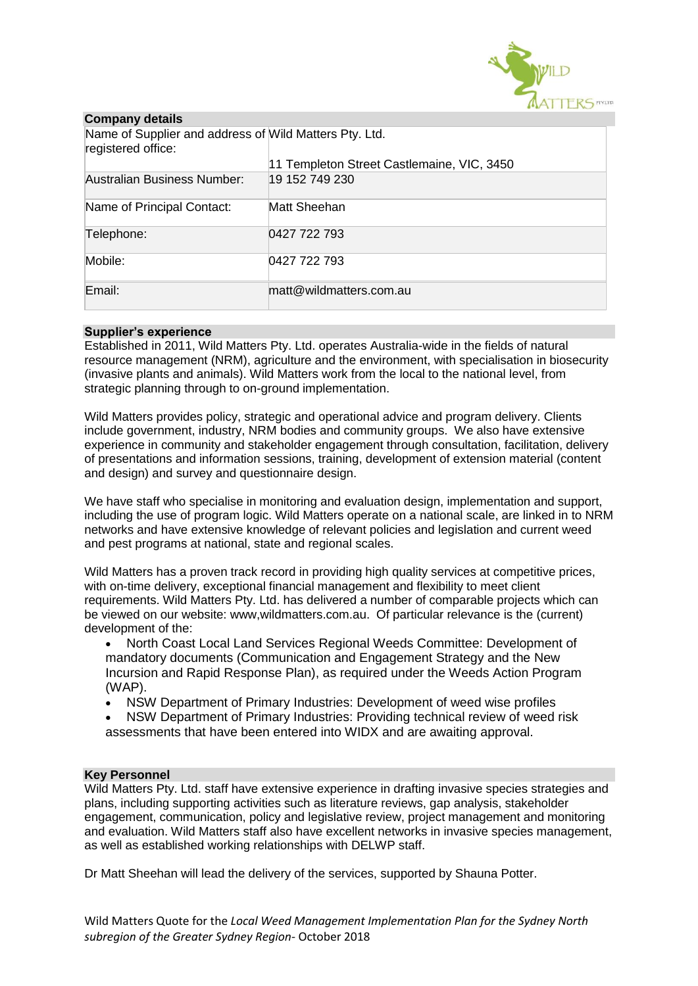

| <b>Company details</b>                                                       |                                            |  |  |  |  |
|------------------------------------------------------------------------------|--------------------------------------------|--|--|--|--|
| Name of Supplier and address of Wild Matters Pty. Ltd.<br>registered office: |                                            |  |  |  |  |
|                                                                              | 11 Templeton Street Castlemaine, VIC, 3450 |  |  |  |  |
| Australian Business Number:                                                  | 19 152 749 230                             |  |  |  |  |
| Name of Principal Contact:                                                   | Matt Sheehan                               |  |  |  |  |
| Telephone:                                                                   | 0427 722 793                               |  |  |  |  |
| Mobile:                                                                      | 0427 722 793                               |  |  |  |  |
| Email:                                                                       | matt@wildmatters.com.au                    |  |  |  |  |

### **Supplier's experience**

Established in 2011, Wild Matters Pty. Ltd. operates Australia-wide in the fields of natural resource management (NRM), agriculture and the environment, with specialisation in biosecurity (invasive plants and animals). Wild Matters work from the local to the national level, from strategic planning through to on-ground implementation.

Wild Matters provides policy, strategic and operational advice and program delivery. Clients include government, industry, NRM bodies and community groups. We also have extensive experience in community and stakeholder engagement through consultation, facilitation, delivery of presentations and information sessions, training, development of extension material (content and design) and survey and questionnaire design.

We have staff who specialise in monitoring and evaluation design, implementation and support, including the use of program logic. Wild Matters operate on a national scale, are linked in to NRM networks and have extensive knowledge of relevant policies and legislation and current weed and pest programs at national, state and regional scales.

Wild Matters has a proven track record in providing high quality services at competitive prices, with on-time delivery, exceptional financial management and flexibility to meet client requirements. Wild Matters Pty. Ltd. has delivered a number of comparable projects which can be viewed on our website: www,wildmatters.com.au. Of particular relevance is the (current) development of the:

• North Coast Local Land Services Regional Weeds Committee: Development of mandatory documents (Communication and Engagement Strategy and the New Incursion and Rapid Response Plan), as required under the Weeds Action Program (WAP).

- NSW Department of Primary Industries: Development of weed wise profiles
- NSW Department of Primary Industries: Providing technical review of weed risk assessments that have been entered into WIDX and are awaiting approval.

### **Key Personnel**

Wild Matters Pty. Ltd. staff have extensive experience in drafting invasive species strategies and plans, including supporting activities such as literature reviews, gap analysis, stakeholder engagement, communication, policy and legislative review, project management and monitoring and evaluation. Wild Matters staff also have excellent networks in invasive species management, as well as established working relationships with DELWP staff.

Dr Matt Sheehan will lead the delivery of the services, supported by Shauna Potter.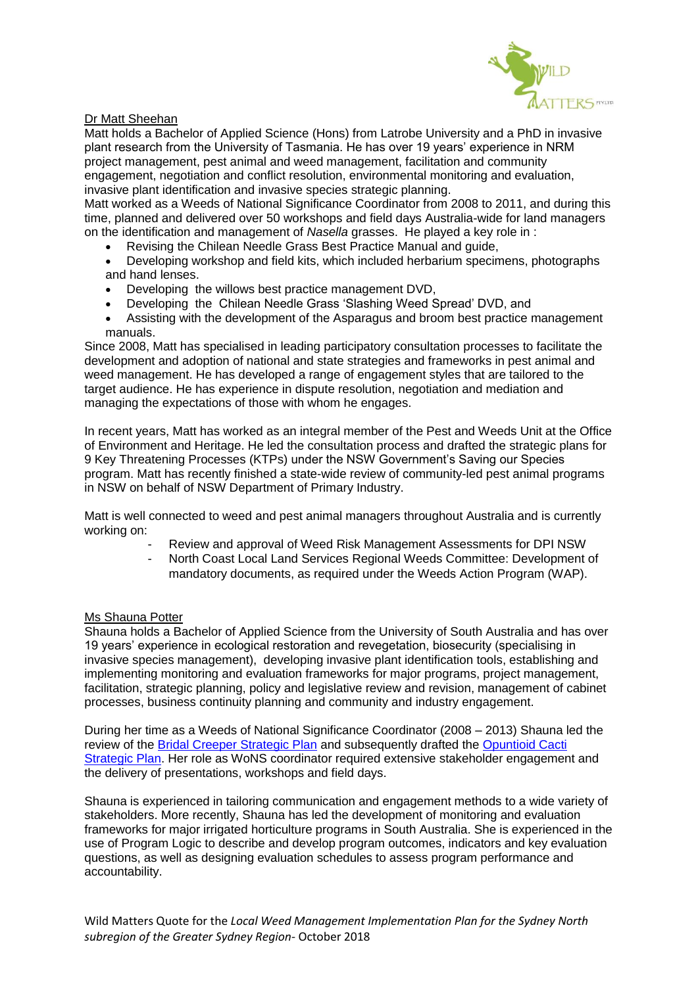

## Dr Matt Sheehan

Matt holds a Bachelor of Applied Science (Hons) from Latrobe University and a PhD in invasive plant research from the University of Tasmania. He has over 19 years' experience in NRM project management, pest animal and weed management, facilitation and community engagement, negotiation and conflict resolution, environmental monitoring and evaluation, invasive plant identification and invasive species strategic planning.

Matt worked as a Weeds of National Significance Coordinator from 2008 to 2011, and during this time, planned and delivered over 50 workshops and field days Australia-wide for land managers on the identification and management of *Nasella* grasses. He played a key role in :

- Revising the Chilean Needle Grass Best Practice Manual and guide,
- Developing workshop and field kits, which included herbarium specimens, photographs and hand lenses.
- Developing the willows best practice management DVD,
- Developing the Chilean Needle Grass 'Slashing Weed Spread' DVD, and
- Assisting with the development of the Asparagus and broom best practice management manuals.

Since 2008, Matt has specialised in leading participatory consultation processes to facilitate the development and adoption of national and state strategies and frameworks in pest animal and weed management. He has developed a range of engagement styles that are tailored to the target audience. He has experience in dispute resolution, negotiation and mediation and managing the expectations of those with whom he engages.

In recent years, Matt has worked as an integral member of the Pest and Weeds Unit at the Office of Environment and Heritage. He led the consultation process and drafted the strategic plans for 9 Key Threatening Processes (KTPs) under the NSW Government's Saving our Species program. Matt has recently finished a state-wide review of community-led pest animal programs in NSW on behalf of NSW Department of Primary Industry.

Matt is well connected to weed and pest animal managers throughout Australia and is currently working on:

- Review and approval of Weed Risk Management Assessments for DPI NSW
	- North Coast Local Land Services Regional Weeds Committee: Development of mandatory documents, as required under the Weeds Action Program (WAP).

### Ms Shauna Potter

Shauna holds a Bachelor of Applied Science from the University of South Australia and has over 19 years' experience in ecological restoration and revegetation, biosecurity (specialising in invasive species management), developing invasive plant identification tools, establishing and implementing monitoring and evaluation frameworks for major programs, project management, facilitation, strategic planning, policy and legislative review and revision, management of cabinet processes, business continuity planning and community and industry engagement.

During her time as a Weeds of National Significance Coordinator (2008 – 2013) Shauna led the review of the **[Bridal Creeper Strategic Plan](http://weeds.ala.org.au/WoNS/bridalcreeper/docs/WEEDS-Bridal%20creeper-06-FINAL(13Mar13).pdf)** and subsequently drafted the **Opuntioid Cacti** [Strategic Plan.](http://weeds.ala.org.au/WoNS/opuntioidcacti/docs/national_strategic_plan_opuntioid_cacti.pdf) Her role as WoNS coordinator required extensive stakeholder engagement and the delivery of presentations, workshops and field days.

Shauna is experienced in tailoring communication and engagement methods to a wide variety of stakeholders. More recently, Shauna has led the development of monitoring and evaluation frameworks for major irrigated horticulture programs in South Australia. She is experienced in the use of Program Logic to describe and develop program outcomes, indicators and key evaluation questions, as well as designing evaluation schedules to assess program performance and accountability.